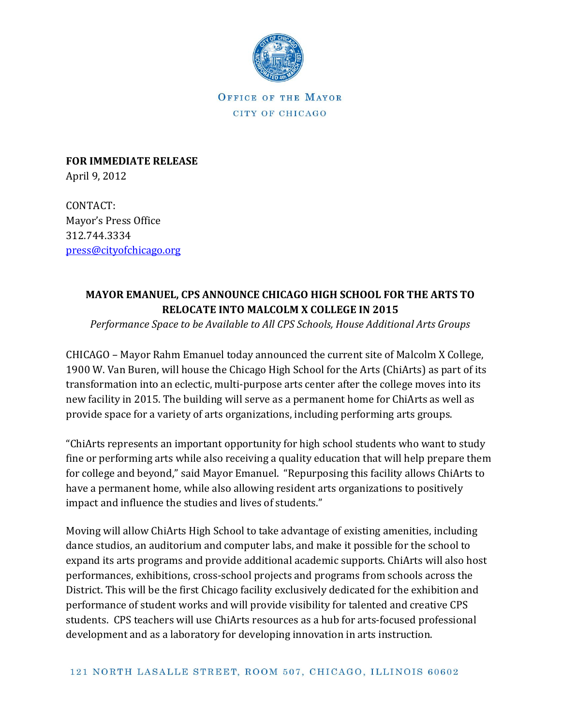

OFFICE OF THE MAYOR CITY OF CHICAGO

**FOR IMMEDIATE RELEASE** April 9, 2012

CONTACT: Mayor's Press Office 312.744.3334 [press@cityofchicago.org](mailto:press@cityofchicago.org)

## **MAYOR EMANUEL, CPS ANNOUNCE CHICAGO HIGH SCHOOL FOR THE ARTS TO RELOCATE INTO MALCOLM X COLLEGE IN 2015**

*Performance Space to be Available to All CPS Schools, House Additional Arts Groups* 

CHICAGO – Mayor Rahm Emanuel today announced the current site of Malcolm X College, 1900 W. Van Buren, will house the Chicago High School for the Arts (ChiArts) as part of its transformation into an eclectic, multi-purpose arts center after the college moves into its new facility in 2015. The building will serve as a permanent home for ChiArts as well as provide space for a variety of arts organizations, including performing arts groups.

"ChiArts represents an important opportunity for high school students who want to study fine or performing arts while also receiving a quality education that will help prepare them for college and beyond," said Mayor Emanuel. "Repurposing this facility allows ChiArts to have a permanent home, while also allowing resident arts organizations to positively impact and influence the studies and lives of students."

Moving will allow ChiArts High School to take advantage of existing amenities, including dance studios, an auditorium and computer labs, and make it possible for the school to expand its arts programs and provide additional academic supports. ChiArts will also host performances, exhibitions, cross-school projects and programs from schools across the District. This will be the first Chicago facility exclusively dedicated for the exhibition and performance of student works and will provide visibility for talented and creative CPS students. CPS teachers will use ChiArts resources as a hub for arts-focused professional development and as a laboratory for developing innovation in arts instruction.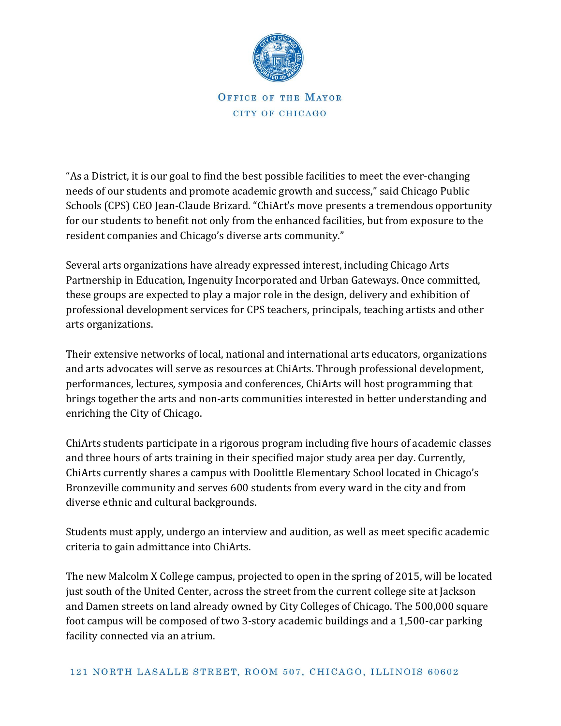

OFFICE OF THE MAYOR CITY OF CHICAGO

"As a District, it is our goal to find the best possible facilities to meet the ever-changing needs of our students and promote academic growth and success," said Chicago Public Schools (CPS) CEO Jean-Claude Brizard. "ChiArt's move presents a tremendous opportunity for our students to benefit not only from the enhanced facilities, but from exposure to the resident companies and Chicago's diverse arts community."

Several arts organizations have already expressed interest, including Chicago Arts Partnership in Education, Ingenuity Incorporated and Urban Gateways. Once committed, these groups are expected to play a major role in the design, delivery and exhibition of professional development services for CPS teachers, principals, teaching artists and other arts organizations.

Their extensive networks of local, national and international arts educators, organizations and arts advocates will serve as resources at ChiArts. Through professional development, performances, lectures, symposia and conferences, ChiArts will host programming that brings together the arts and non-arts communities interested in better understanding and enriching the City of Chicago.

ChiArts students participate in a rigorous program including five hours of academic classes and three hours of arts training in their specified major study area per day. Currently, ChiArts currently shares a campus with Doolittle Elementary School located in Chicago's Bronzeville community and serves 600 students from every ward in the city and from diverse ethnic and cultural backgrounds.

Students must apply, undergo an interview and audition, as well as meet specific academic criteria to gain admittance into ChiArts.

The new Malcolm X College campus, projected to open in the spring of 2015, will be located just south of the United Center, across the street from the current college site at Jackson and Damen streets on land already owned by City Colleges of Chicago. The 500,000 square foot campus will be composed of two 3-story academic buildings and a 1,500-car parking facility connected via an atrium.